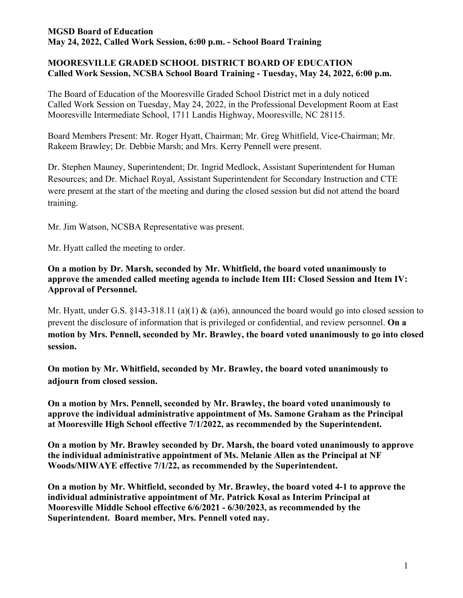### **MGSD Board of Education May 24, 2022, Called Work Session, 6:00 p.m. - School Board Training**

# **MOORESVILLE GRADED SCHOOL DISTRICT BOARD OF EDUCATION Called Work Session, NCSBA School Board Training - Tuesday, May 24, 2022, 6:00 p.m.**

The Board of Education of the Mooresville Graded School District met in a duly noticed Called Work Session on Tuesday, May 24, 2022, in the Professional Development Room at East Mooresville Intermediate School, 1711 Landis Highway, Mooresville, NC 28115.

Board Members Present: Mr. Roger Hyatt, Chairman; Mr. Greg Whitfield, Vice-Chairman; Mr. Rakeem Brawley; Dr. Debbie Marsh; and Mrs. Kerry Pennell were present.

Dr. Stephen Mauney, Superintendent; Dr. Ingrid Medlock, Assistant Superintendent for Human Resources; and Dr. Michael Royal, Assistant Superintendent for Secondary Instruction and CTE were present at the start of the meeting and during the closed session but did not attend the board training.

Mr. Jim Watson, NCSBA Representative was present.

Mr. Hyatt called the meeting to order.

**On a motion by Dr. Marsh, seconded by Mr. Whitfield, the board voted unanimously to approve the amended called meeting agenda to include Item III: Closed Session and Item IV: Approval of Personnel.**

Mr. Hyatt, under G.S. §143-318.11 (a)(1) & (a)6), announced the board would go into closed session to prevent the disclosure of information that is privileged or confidential, and review personnel. **On a motion by Mrs. Pennell, seconded by Mr. Brawley, the board voted unanimously to go into closed session.**

**On motion by Mr. Whitfield, seconded by Mr. Brawley, the board voted unanimously to adjourn from closed session.**

**On a motion by Mrs. Pennell, seconded by Mr. Brawley, the board voted unanimously to approve the individual administrative appointment of Ms. Samone Graham as the Principal at Mooresville High School effective 7/1/2022, as recommended by the Superintendent.**

**On a motion by Mr. Brawley seconded by Dr. Marsh, the board voted unanimously to approve the individual administrative appointment of Ms. Melanie Allen as the Principal at NF Woods/MIWAYE effective 7/1/22, as recommended by the Superintendent.**

**On a motion by Mr. Whitfield, seconded by Mr. Brawley, the board voted 4-1 to approve the individual administrative appointment of Mr. Patrick Kosal as Interim Principal at Mooresville Middle School effective 6/6/2021 - 6/30/2023, as recommended by the Superintendent. Board member, Mrs. Pennell voted nay.**